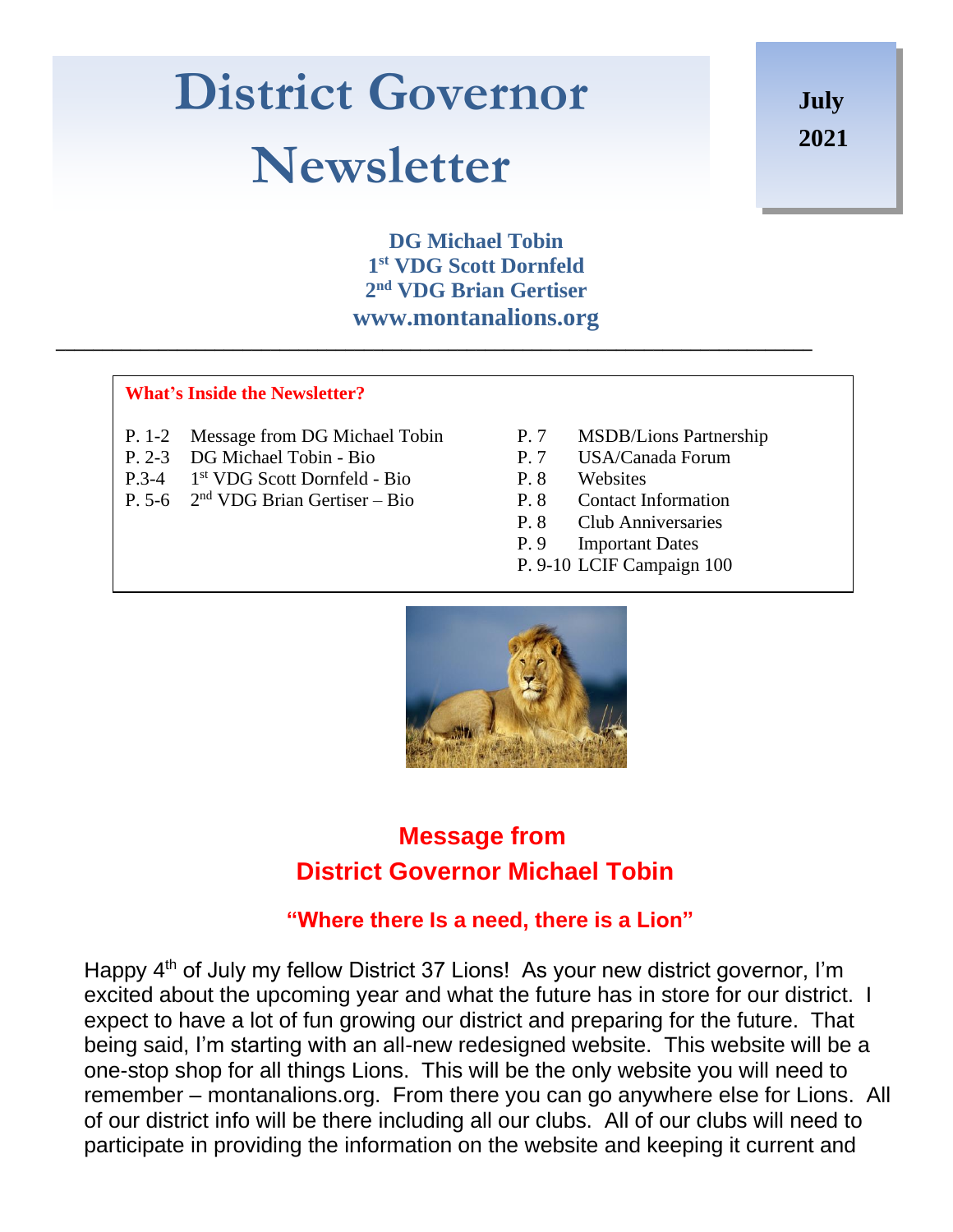# **District Governor Newsletter**

**July 2021**

**DG Michael Tobin 1 st VDG Scott Dornfeld 2 nd VDG Brian Gertiser www.montanalions.org**

**\_\_\_\_\_\_\_\_\_\_\_\_\_\_\_\_\_\_\_\_\_\_\_\_\_\_\_\_\_\_\_\_\_\_\_\_\_\_\_\_\_\_\_\_\_\_\_\_\_\_\_\_\_\_\_\_\_\_\_\_\_\_\_\_\_\_\_\_\_\_\_\_\_\_\_\_\_\_\_\_\_**

#### **What's Inside the Newsletter?**

- P. 1-2 Message from DG Michael Tobin P. 7 MSDB/Lions Partnership
- P. 2-3 DG Michael Tobin Bio P. 7 USA/Canada Forum
- $P.3-4$ 1<sup>st</sup> VDG Scott Dornfeld - Bio<br>
2<sup>nd</sup> VDG Brian Gertiser – Bio<br>
P. 8 Contact Information
- P. 5-6 2  $2<sup>nd</sup> VDG Brian Gertiser – Bio$  P. 8
- 
- 
- -
	- P. 8 Club Anniversaries
	- P. 9 Important Dates
	- P. 9-10 LCIF Campaign 100



#### **Message from District Governor Michael Tobin**

#### **"Where there Is a need, there is a Lion"**

Happy 4<sup>th</sup> of July my fellow District 37 Lions! As your new district governor, I'm excited about the upcoming year and what the future has in store for our district. I expect to have a lot of fun growing our district and preparing for the future. That being said, I'm starting with an all-new redesigned website. This website will be a one-stop shop for all things Lions. This will be the only website you will need to remember – montanalions.org. From there you can go anywhere else for Lions. All of our district info will be there including all our clubs. All of our clubs will need to participate in providing the information on the website and keeping it current and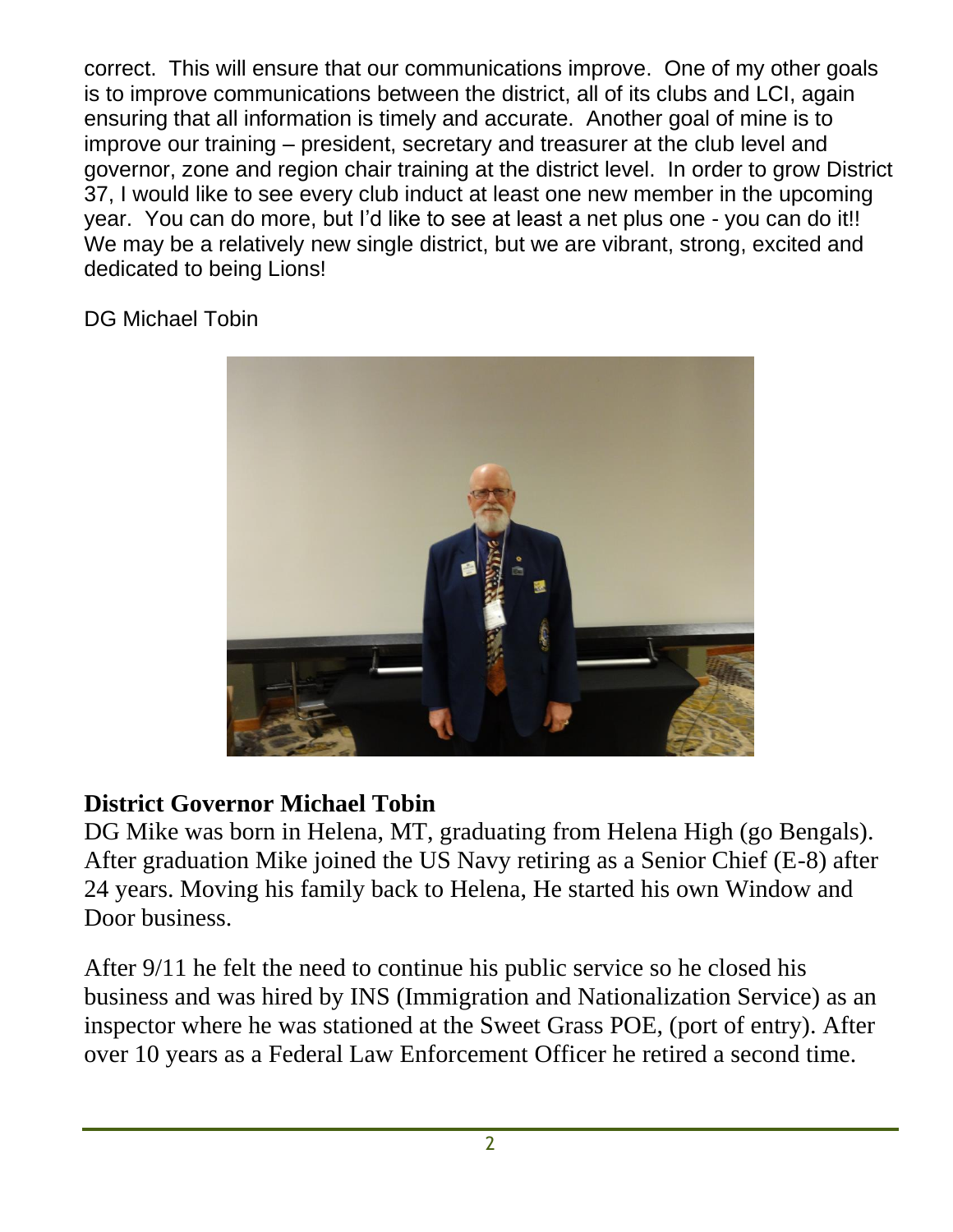correct. This will ensure that our communications improve. One of my other goals is to improve communications between the district, all of its clubs and LCI, again ensuring that all information is timely and accurate. Another goal of mine is to improve our training – president, secretary and treasurer at the club level and governor, zone and region chair training at the district level. In order to grow District 37, I would like to see every club induct at least one new member in the upcoming year. You can do more, but I'd like to see at least a net plus one - you can do it!! We may be a relatively new single district, but we are vibrant, strong, excited and dedicated to being Lions!

DG Michael Tobin



#### **District Governor Michael Tobin**

DG Mike was born in Helena, MT, graduating from Helena High (go Bengals). After graduation Mike joined the US Navy retiring as a Senior Chief (E-8) after 24 years. Moving his family back to Helena, He started his own Window and Door business.

After 9/11 he felt the need to continue his public service so he closed his business and was hired by INS (Immigration and Nationalization Service) as an inspector where he was stationed at the Sweet Grass POE, (port of entry). After over 10 years as a Federal Law Enforcement Officer he retired a second time.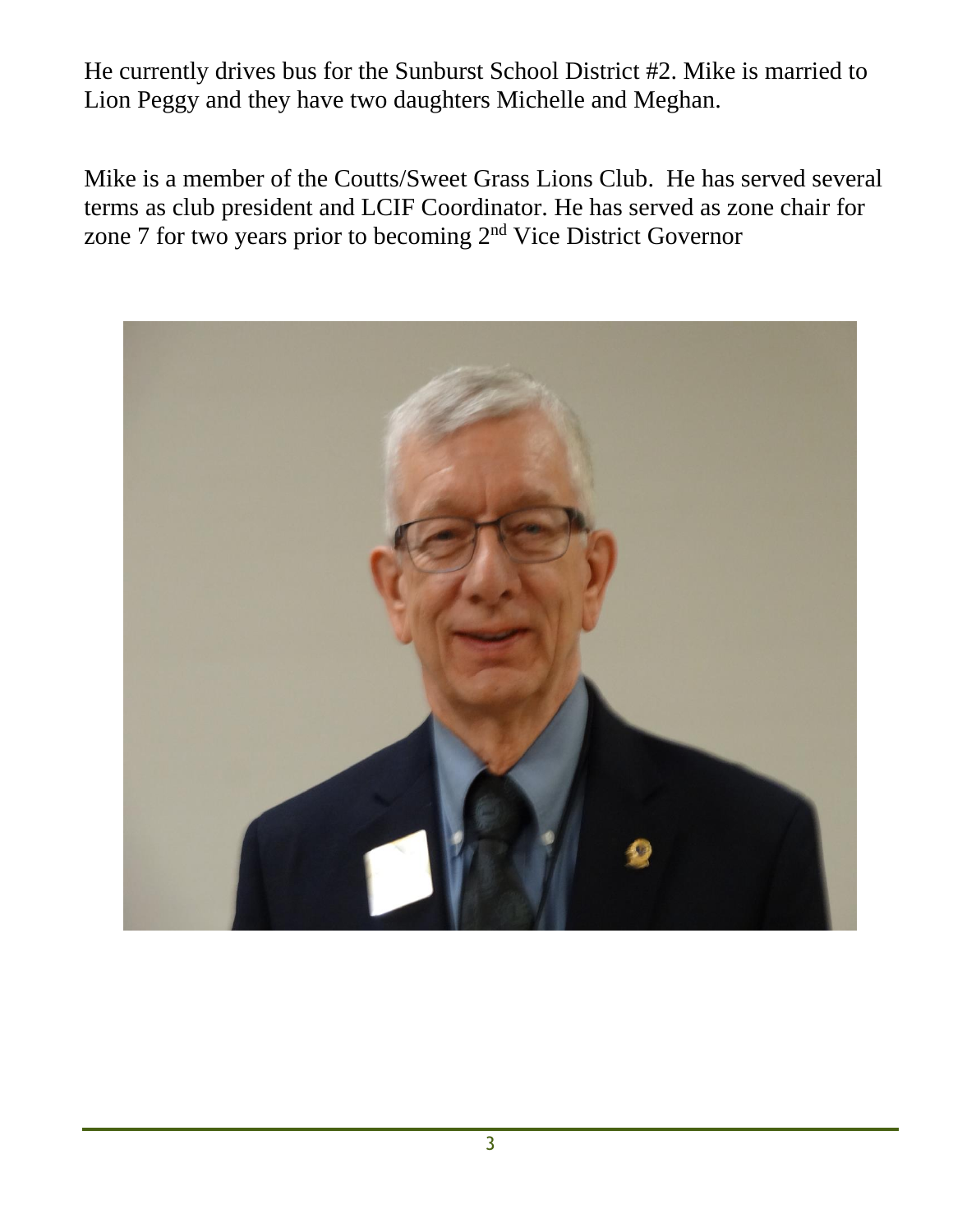He currently drives bus for the Sunburst School District #2. Mike is married to Lion Peggy and they have two daughters Michelle and Meghan.

Mike is a member of the Coutts/Sweet Grass Lions Club. He has served several terms as club president and LCIF Coordinator. He has served as zone chair for zone 7 for two years prior to becoming 2nd Vice District Governor

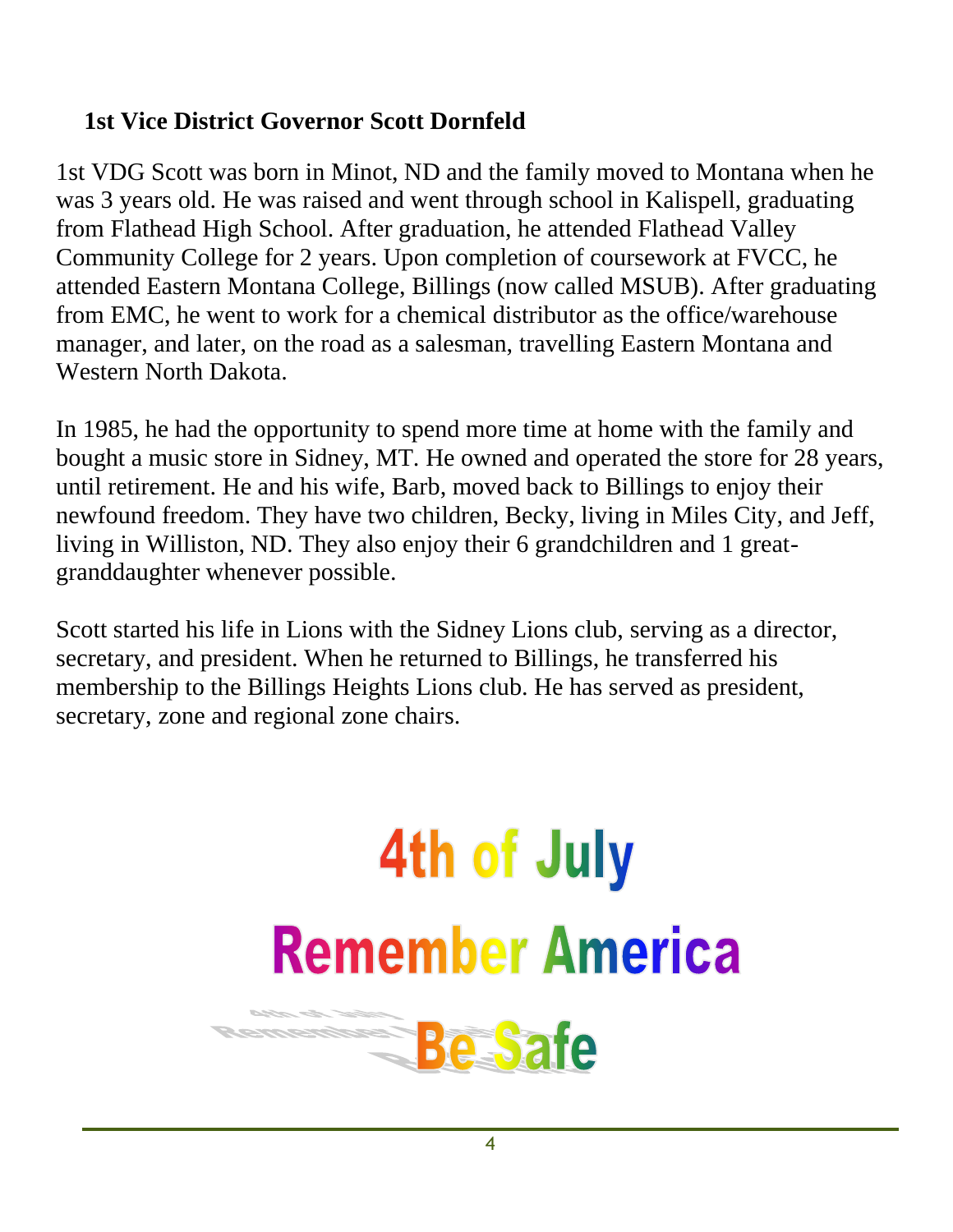#### **1st Vice District Governor Scott Dornfeld**

1st VDG Scott was born in Minot, ND and the family moved to Montana when he was 3 years old. He was raised and went through school in Kalispell, graduating from Flathead High School. After graduation, he attended Flathead Valley Community College for 2 years. Upon completion of coursework at FVCC, he attended Eastern Montana College, Billings (now called MSUB). After graduating from EMC, he went to work for a chemical distributor as the office/warehouse manager, and later, on the road as a salesman, travelling Eastern Montana and Western North Dakota.

In 1985, he had the opportunity to spend more time at home with the family and bought a music store in Sidney, MT. He owned and operated the store for 28 years, until retirement. He and his wife, Barb, moved back to Billings to enjoy their newfound freedom. They have two children, Becky, living in Miles City, and Jeff, living in Williston, ND. They also enjoy their 6 grandchildren and 1 greatgranddaughter whenever possible.

Scott started his life in Lions with the Sidney Lions club, serving as a director, secretary, and president. When he returned to Billings, he transferred his membership to the Billings Heights Lions club. He has served as president, secretary, zone and regional zone chairs.

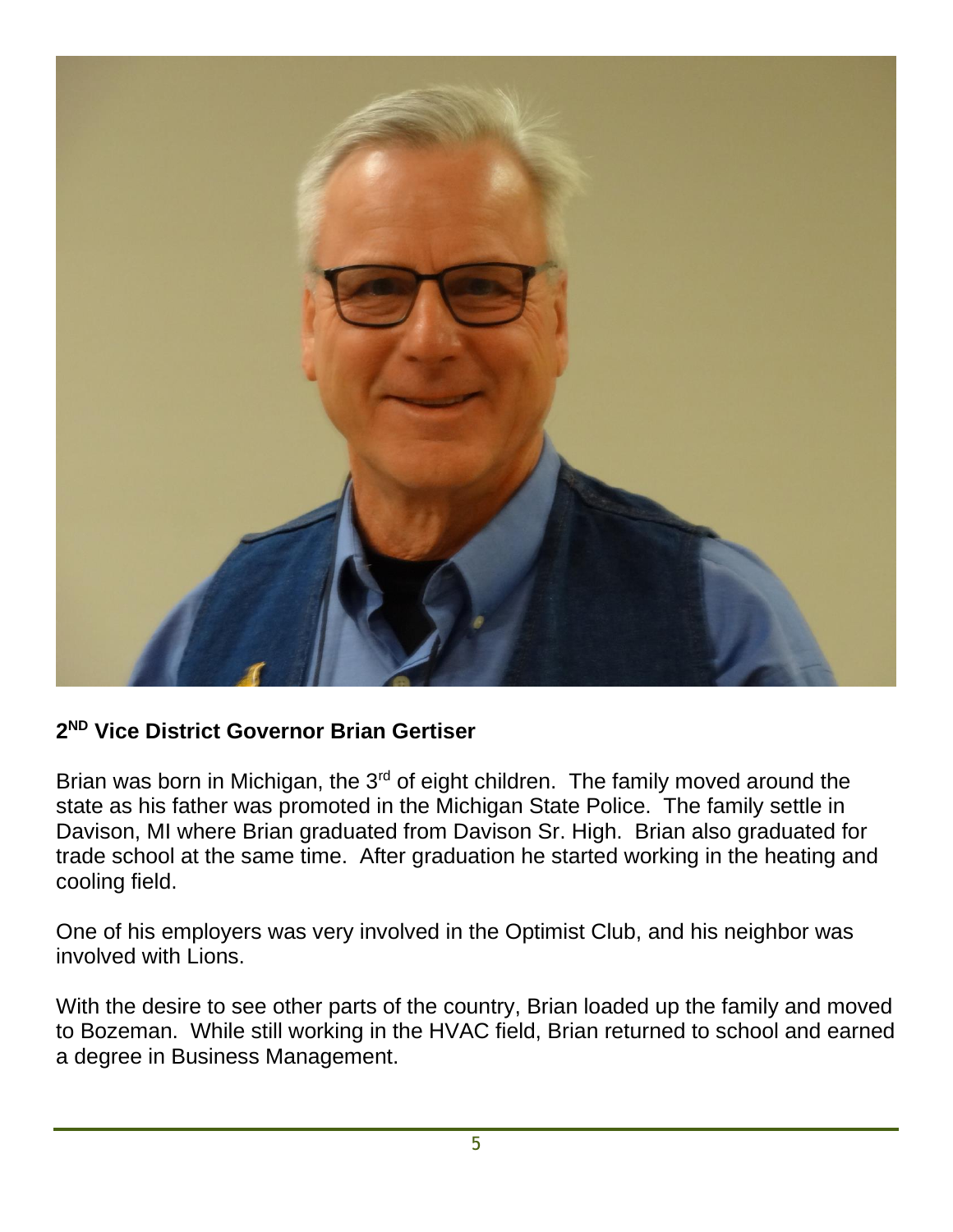

#### **2 ND Vice District Governor Brian Gertiser**

Brian was born in Michigan, the  $3<sup>rd</sup>$  of eight children. The family moved around the state as his father was promoted in the Michigan State Police. The family settle in Davison, MI where Brian graduated from Davison Sr. High. Brian also graduated for trade school at the same time. After graduation he started working in the heating and cooling field.

One of his employers was very involved in the Optimist Club, and his neighbor was involved with Lions.

With the desire to see other parts of the country, Brian loaded up the family and moved to Bozeman. While still working in the HVAC field, Brian returned to school and earned a degree in Business Management.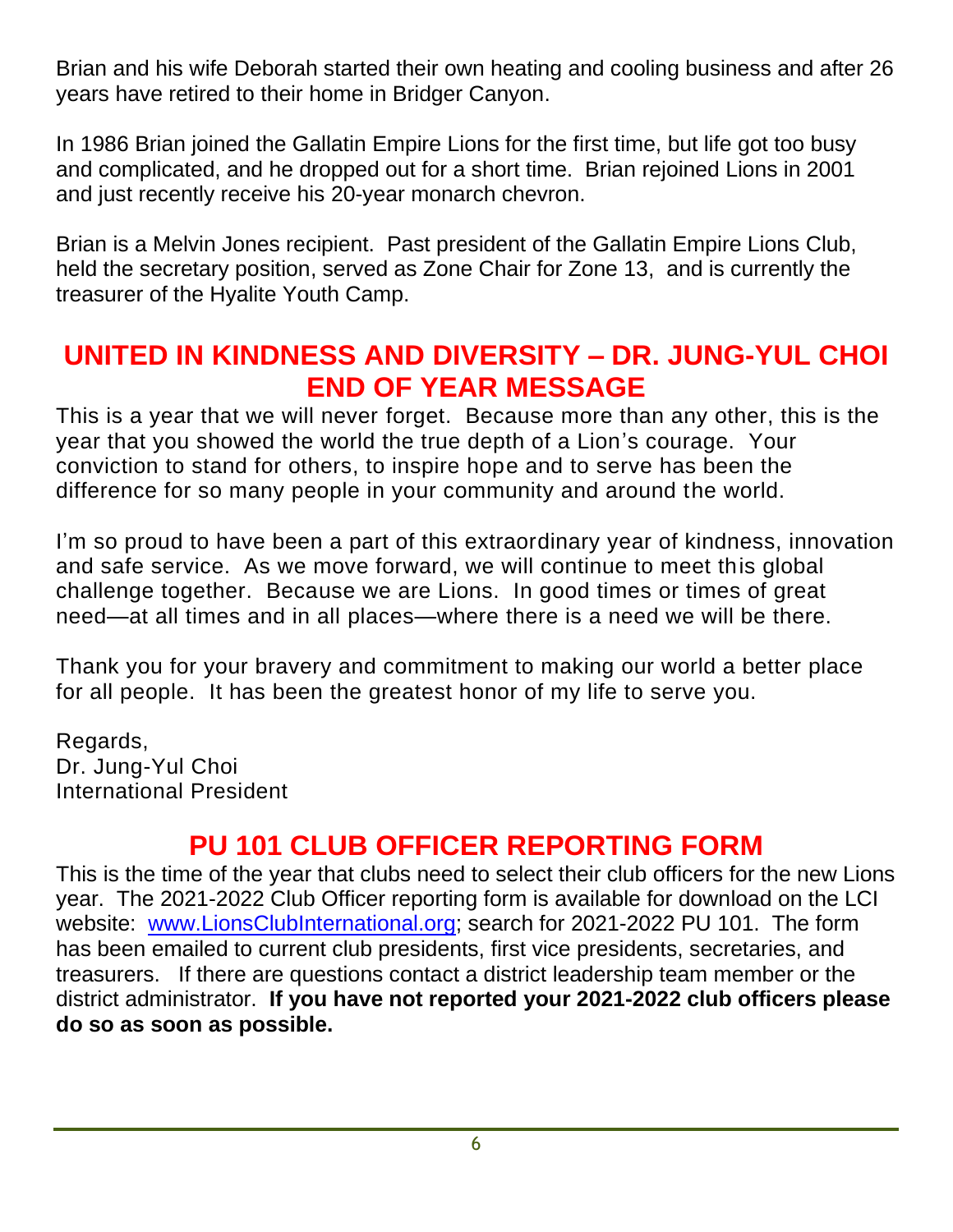Brian and his wife Deborah started their own heating and cooling business and after 26 years have retired to their home in Bridger Canyon.

In 1986 Brian joined the Gallatin Empire Lions for the first time, but life got too busy and complicated, and he dropped out for a short time. Brian rejoined Lions in 2001 and just recently receive his 20-year monarch chevron.

Brian is a Melvin Jones recipient. Past president of the Gallatin Empire Lions Club, held the secretary position, served as Zone Chair for Zone 13, and is currently the treasurer of the Hyalite Youth Camp.

### **UNITED IN KINDNESS AND DIVERSITY – DR. JUNG-YUL CHOI END OF YEAR MESSAGE**

This is a year that we will never forget. Because more than any other, this is the year that you showed the world the true depth of a Lion's courage. Your conviction to stand for others, to inspire hope and to serve has been the difference for so many people in your community and around the world.

I'm so proud to have been a part of this extraordinary year of kindness, innovation and safe service. As we move forward, we will continue to meet this global challenge together. Because we are Lions. In good times or times of great need—at all times and in all places—where there is a need we will be there.

Thank you for your bravery and commitment to making our world a better place for all people. It has been the greatest honor of my life to serve you.

Regards, Dr. Jung-Yul Choi International President

### **PU 101 CLUB OFFICER REPORTING FORM**

This is the time of the year that clubs need to select their club officers for the new Lions year. The 2021-2022 Club Officer reporting form is available for download on the LCI website: [www.LionsClubInternational.org;](http://www.lionsclubinternational.org/) search for 2021-2022 PU 101. The form has been emailed to current club presidents, first vice presidents, secretaries, and treasurers. If there are questions contact a district leadership team member or the district administrator. **If you have not reported your 2021-2022 club officers please do so as soon as possible.**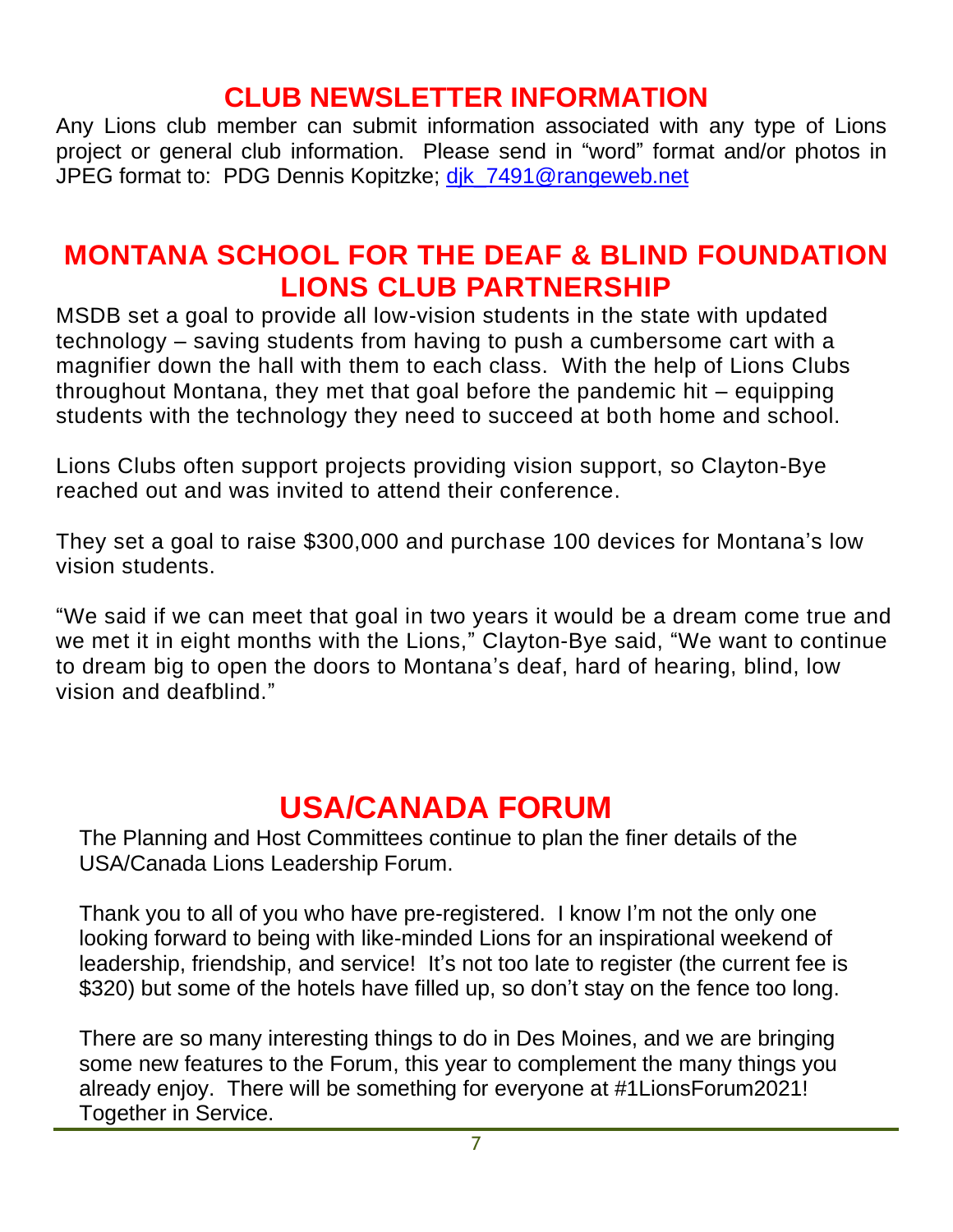#### **CLUB NEWSLETTER INFORMATION**

Any Lions club member can submit information associated with any type of Lions project or general club information. Please send in "word" format and/or photos in JPEG format to: PDG Dennis Kopitzke; dik 7491@rangeweb.net

### **MONTANA SCHOOL FOR THE DEAF & BLIND FOUNDATION LIONS CLUB PARTNERSHIP**

MSDB set a goal to provide all low-vision students in the state with updated technology – saving students from having to push a cumbersome cart with a magnifier down the hall with them to each class. With the help of Lions Clubs throughout Montana, they met that goal before the pandemic hit – equipping students with the technology they need to succeed at both home and school.

Lions Clubs often support projects providing vision support, so Clayton-Bye reached out and was invited to attend their conference.

They set a goal to raise \$300,000 and purchase 100 devices for Montana's low vision students.

"We said if we can meet that goal in two years it would be a dream come true and we met it in eight months with the Lions," Clayton-Bye said, "We want to continue to dream big to open the doors to Montana's deaf, hard of hearing, blind, low vision and deafblind."

# **USA/CANADA FORUM**

The Planning and Host Committees continue to plan the finer details of the USA/Canada Lions Leadership Forum.

Thank you to all of you who have pre-registered. I know I'm not the only one looking forward to being with like-minded Lions for an inspirational weekend of leadership, friendship, and service! It's not too late to register (the current fee is \$320) but some of the hotels have filled up, so don't stay on the fence too long.

There are so many interesting things to do in Des Moines, and we are bringing some new features to the Forum, this year to complement the many things you already enjoy. There will be something for everyone at #1LionsForum2021! Together in Service.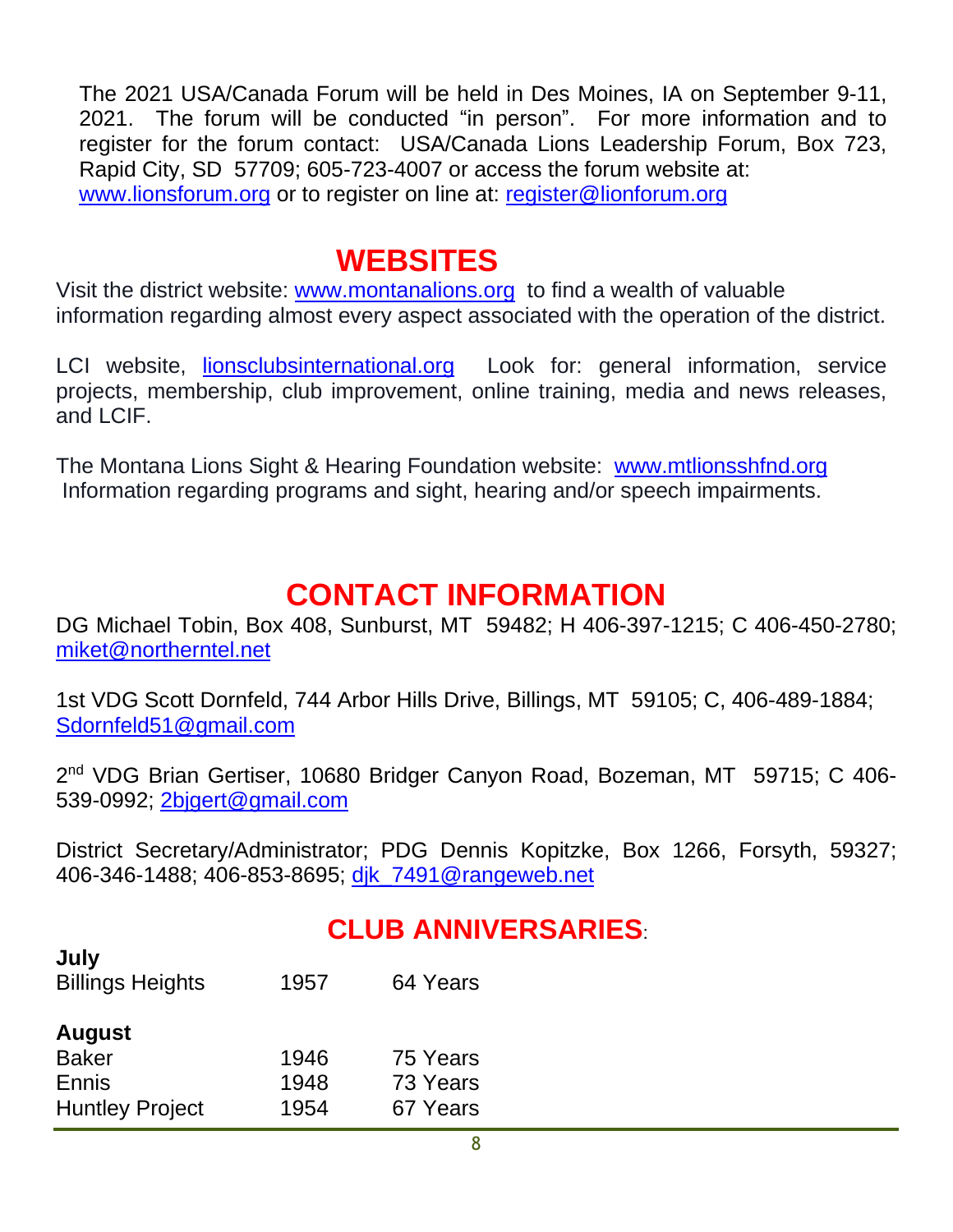The 2021 USA/Canada Forum will be held in Des Moines, IA on September 9-11, 2021. The forum will be conducted "in person". For more information and to register for the forum contact: USA/Canada Lions Leadership Forum, Box 723, Rapid City, SD 57709; 605-723-4007 or access the forum website at: [www.lionsforum.org](http://www.lionsforum.org/) or to register on line at: [register@lionforum.org](mailto:register@lionforum.org)

## **WEBSITES**

Visit the district website: [www.montanalions.org](http://www.montanalions.org/) to find a wealth of valuable information regarding almost every aspect associated with the operation of the district.

LCI website, [lionsclubsinternational.org](http://www.lionsclubsinternational.org/) Look for: general information, service projects, membership, club improvement, online training, media and news releases, and LCIF.

The Montana Lions Sight & Hearing Foundation website: [www.mtlionsshfnd.org](http://www.mtlionsshfnd.org/) Information regarding programs and sight, hearing and/or speech impairments.

# **CONTACT INFORMATION**

DG Michael Tobin, Box 408, Sunburst, MT 59482; H 406-397-1215; C 406-450-2780; [miket@northerntel.net](mailto:miket@northerntel.net)

1st VDG Scott Dornfeld, 744 Arbor Hills Drive, Billings, MT 59105; C, 406-489-1884; [Sdornfeld51@gmail.com](mailto:Sdornfeld51@gmail.com)

2<sup>nd</sup> VDG Brian Gertiser, 10680 Bridger Canyon Road, Bozeman, MT 59715; C 406-539-0992; [2bjgert@gmail.com](mailto:2bjgert@gmail.com)

District Secretary/Administrator; PDG Dennis Kopitzke, Box 1266, Forsyth, 59327; 406-346-1488; 406-853-8695; dik\_7491@rangeweb.net

#### **CLUB ANNIVERSARIES**:

| July<br><b>Billings Heights</b> | 1957 | 64 Years |
|---------------------------------|------|----------|
| <b>August</b>                   |      |          |
| <b>Baker</b>                    | 1946 | 75 Years |
| Ennis                           | 1948 | 73 Years |
| <b>Huntley Project</b>          | 1954 | 67 Years |

**July**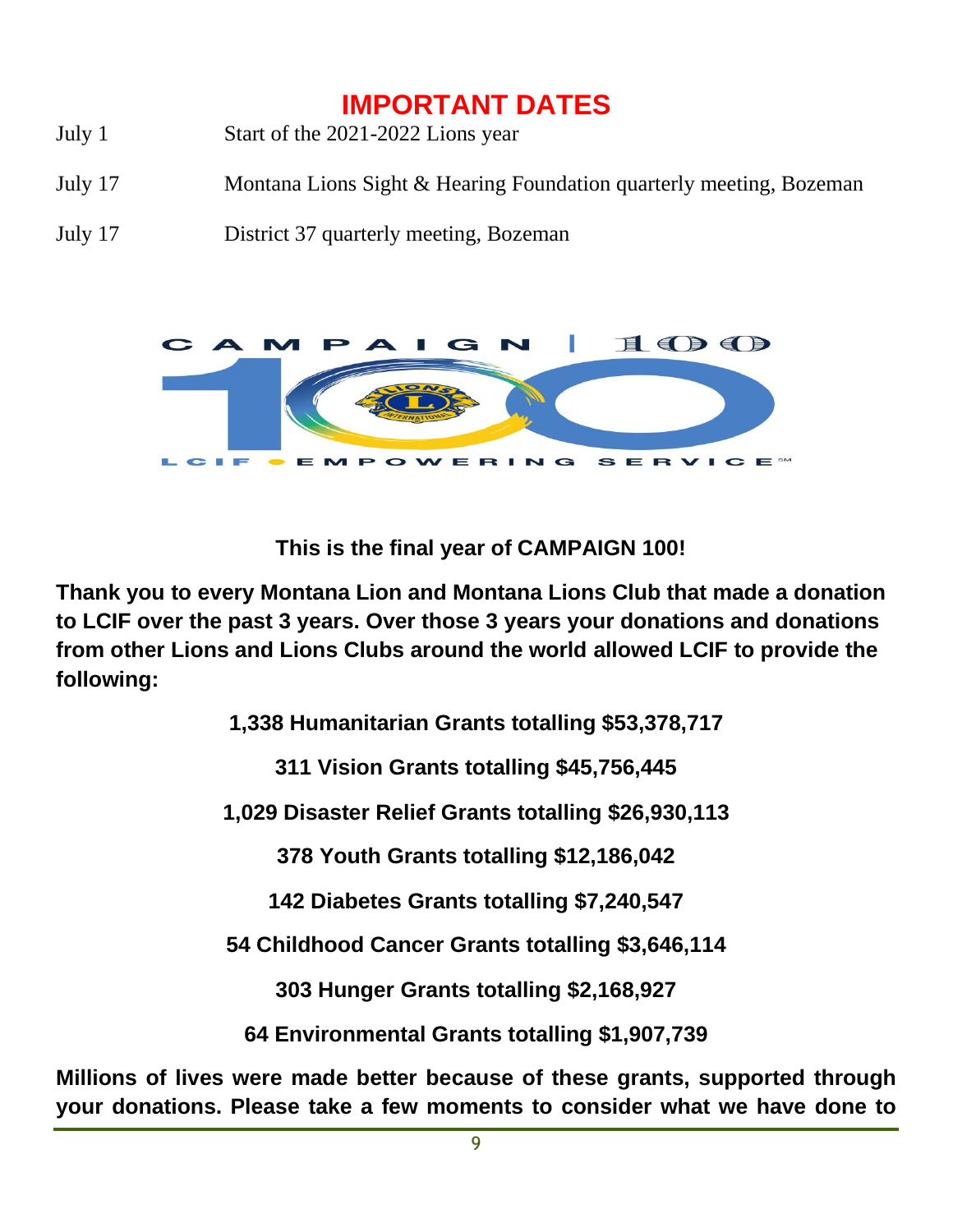## **IMPORTANT DATES**

- July 1 Start of the 2021-2022 Lions year
- July 17 Montana Lions Sight & Hearing Foundation quarterly meeting, Bozeman
- July 17 District 37 quarterly meeting, Bozeman



**This is the final year of CAMPAIGN 100!**

**Thank you to every Montana Lion and Montana Lions Club that made a donation to LCIF over the past 3 years. Over those 3 years your donations and donations from other Lions and Lions Clubs around the world allowed LCIF to provide the following:**

**1,338 Humanitarian Grants totalling \$53,378,717**

**311 Vision Grants totalling \$45,756,445**

**1,029 Disaster Relief Grants totalling \$26,930,113**

**378 Youth Grants totalling \$12,186,042**

**142 Diabetes Grants totalling \$7,240,547**

**54 Childhood Cancer Grants totalling \$3,646,114**

**303 Hunger Grants totalling \$2,168,927**

**64 Environmental Grants totalling \$1,907,739**

**Millions of lives were made better because of these grants, supported through your donations. Please take a few moments to consider what we have done to**